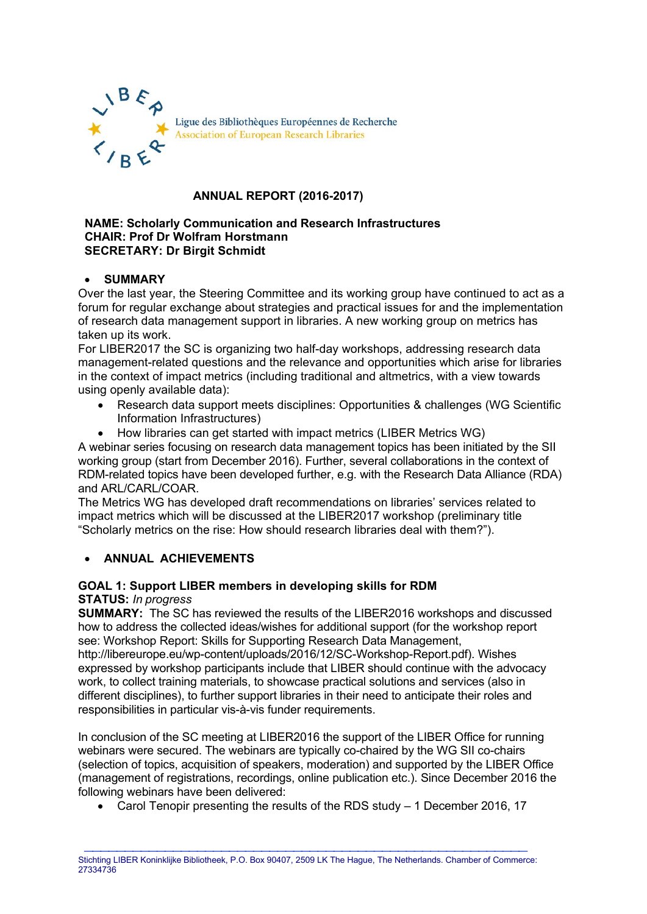

# **ANNUAL REPORT (2016-2017)**

#### **NAME: Scholarly Communication and Research Infrastructures CHAIR: Prof Dr Wolfram Horstmann SECRETARY: Dr Birgit Schmidt**

## • **SUMMARY**

Over the last year, the Steering Committee and its working group have continued to act as a forum for regular exchange about strategies and practical issues for and the implementation of research data management support in libraries. A new working group on metrics has taken up its work.

For LIBER2017 the SC is organizing two half-day workshops, addressing research data management-related questions and the relevance and opportunities which arise for libraries in the context of impact metrics (including traditional and altmetrics, with a view towards using openly available data):

- Research data support meets disciplines: Opportunities & challenges (WG Scientific Information Infrastructures)
- How libraries can get started with impact metrics (LIBER Metrics WG)

A webinar series focusing on research data management topics has been initiated by the SII working group (start from December 2016). Further, several collaborations in the context of RDM-related topics have been developed further, e.g. with the Research Data Alliance (RDA) and ARL/CARL/COAR.

The Metrics WG has developed draft recommendations on libraries' services related to impact metrics which will be discussed at the LIBER2017 workshop (preliminary title "Scholarly metrics on the rise: How should research libraries deal with them?").

# • **ANNUAL ACHIEVEMENTS**

#### **GOAL 1: Support LIBER members in developing skills for RDM STATUS:** *In progress*

**SUMMARY:** The SC has reviewed the results of the LIBER2016 workshops and discussed how to address the collected ideas/wishes for additional support (for the workshop report see: Workshop Report: Skills for Supporting Research Data Management, http://libereurope.eu/wp-content/uploads/2016/12/SC-Workshop-Report.pdf). Wishes expressed by workshop participants include that LIBER should continue with the advocacy work, to collect training materials, to showcase practical solutions and services (also in different disciplines), to further support libraries in their need to anticipate their roles and responsibilities in particular vis-à-vis funder requirements.

In conclusion of the SC meeting at LIBER2016 the support of the LIBER Office for running webinars were secured. The webinars are typically co-chaired by the WG SII co-chairs (selection of topics, acquisition of speakers, moderation) and supported by the LIBER Office (management of registrations, recordings, online publication etc.). Since December 2016 the following webinars have been delivered:

• Carol Tenopir presenting the results of the RDS study – 1 December 2016, 17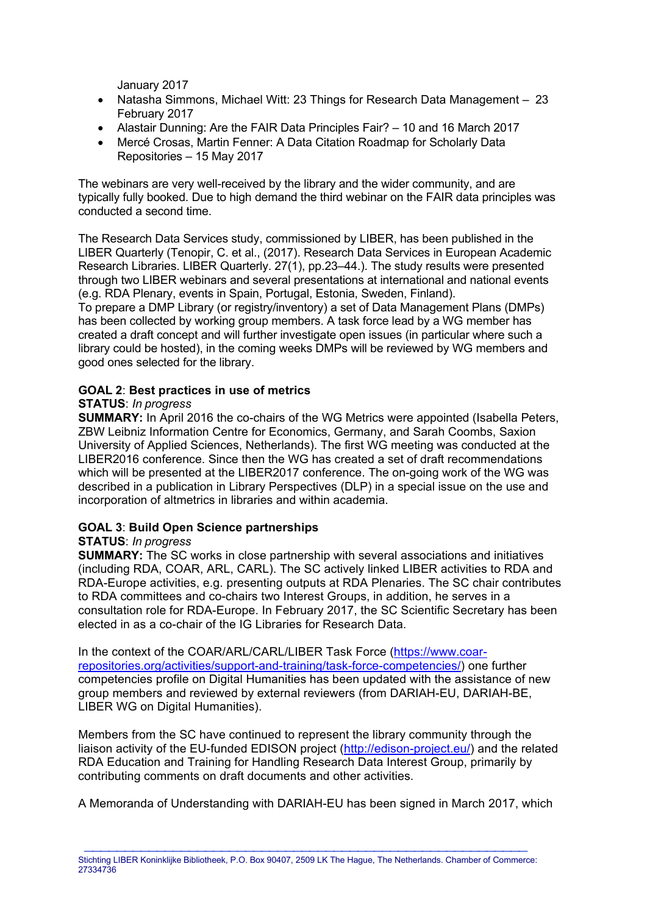January 2017

- Natasha Simmons, Michael Witt: 23 Things for Research Data Management 23 February 2017
- Alastair Dunning: Are the FAIR Data Principles Fair? 10 and 16 March 2017
- Mercé Crosas, Martin Fenner: A Data Citation Roadmap for Scholarly Data Repositories – 15 May 2017

The webinars are very well-received by the library and the wider community, and are typically fully booked. Due to high demand the third webinar on the FAIR data principles was conducted a second time.

The Research Data Services study, commissioned by LIBER, has been published in the LIBER Quarterly (Tenopir, C. et al., (2017). Research Data Services in European Academic Research Libraries. LIBER Quarterly. 27(1), pp.23–44.). The study results were presented through two LIBER webinars and several presentations at international and national events (e.g. RDA Plenary, events in Spain, Portugal, Estonia, Sweden, Finland).

To prepare a DMP Library (or registry/inventory) a set of Data Management Plans (DMPs) has been collected by working group members. A task force lead by a WG member has created a draft concept and will further investigate open issues (in particular where such a library could be hosted), in the coming weeks DMPs will be reviewed by WG members and good ones selected for the library.

## **GOAL 2**: **Best practices in use of metrics**

### **STATUS**: *In progress*

**SUMMARY:** In April 2016 the co-chairs of the WG Metrics were appointed (Isabella Peters, ZBW Leibniz Information Centre for Economics, Germany, and Sarah Coombs, Saxion University of Applied Sciences, Netherlands). The first WG meeting was conducted at the LIBER2016 conference. Since then the WG has created a set of draft recommendations which will be presented at the LIBER2017 conference. The on-going work of the WG was described in a publication in Library Perspectives (DLP) in a special issue on the use and incorporation of altmetrics in libraries and within academia.

# **GOAL 3**: **Build Open Science partnerships**

### **STATUS**: *In progress*

**SUMMARY:** The SC works in close partnership with several associations and initiatives (including RDA, COAR, ARL, CARL). The SC actively linked LIBER activities to RDA and RDA-Europe activities, e.g. presenting outputs at RDA Plenaries. The SC chair contributes to RDA committees and co-chairs two Interest Groups, in addition, he serves in a consultation role for RDA-Europe. In February 2017, the SC Scientific Secretary has been elected in as a co-chair of the IG Libraries for Research Data.

In the context of the COAR/ARL/CARL/LIBER Task Force [\(https://www.coar](https://www.coar-repositories.org/activities/support-and-training/task-force-competencies/)[repositories.org/activities/support-and-training/task-force-competencies/\)](https://www.coar-repositories.org/activities/support-and-training/task-force-competencies/) one further competencies profile on Digital Humanities has been updated with the assistance of new group members and reviewed by external reviewers (from DARIAH-EU, DARIAH-BE, LIBER WG on Digital Humanities).

Members from the SC have continued to represent the library community through the liaison activity of the EU-funded EDISON project [\(http://edison-project.eu/\)](http://edison-project.eu/) and the related RDA Education and Training for Handling Research Data Interest Group, primarily by contributing comments on draft documents and other activities.

A Memoranda of Understanding with DARIAH-EU has been signed in March 2017, which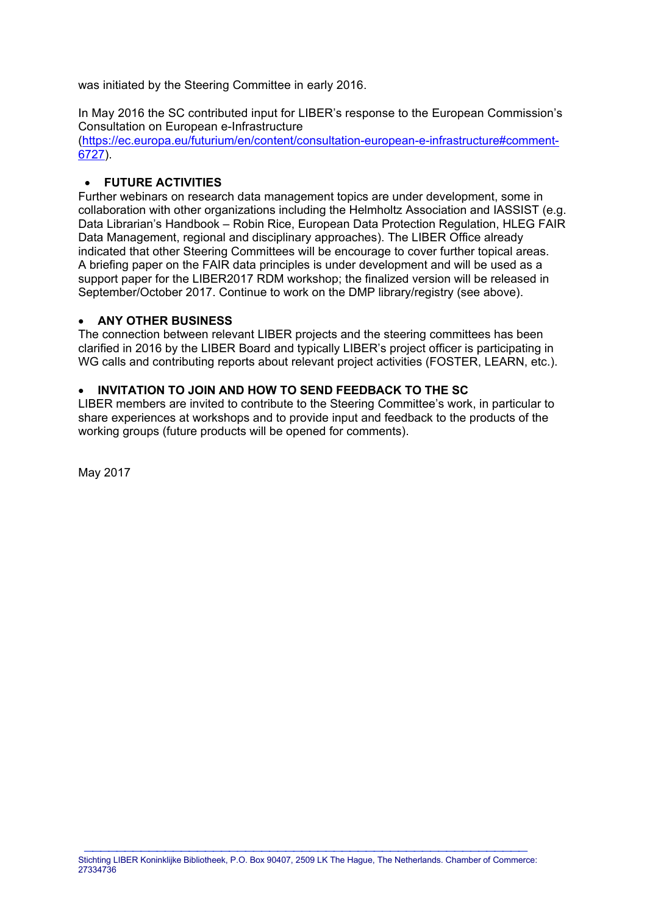was initiated by the Steering Committee in early 2016.

In May 2016 the SC contributed input for LIBER's response to the European Commission's Consultation on European e-Infrastructure

[\(https://ec.europa.eu/futurium/en/content/consultation-european-e-infrastructure#comment-](https://ec.europa.eu/futurium/en/content/consultation-european-e-infrastructure#comment-6727)[6727\)](https://ec.europa.eu/futurium/en/content/consultation-european-e-infrastructure#comment-6727).

## • **FUTURE ACTIVITIES**

Further webinars on research data management topics are under development, some in collaboration with other organizations including the Helmholtz Association and IASSIST (e.g. Data Librarian's Handbook – Robin Rice, European Data Protection Regulation, HLEG FAIR Data Management, regional and disciplinary approaches). The LIBER Office already indicated that other Steering Committees will be encourage to cover further topical areas. A briefing paper on the FAIR data principles is under development and will be used as a support paper for the LIBER2017 RDM workshop; the finalized version will be released in September/October 2017. Continue to work on the DMP library/registry (see above).

#### • **ANY OTHER BUSINESS**

The connection between relevant LIBER projects and the steering committees has been clarified in 2016 by the LIBER Board and typically LIBER's project officer is participating in WG calls and contributing reports about relevant project activities (FOSTER, LEARN, etc.).

### • **INVITATION TO JOIN AND HOW TO SEND FEEDBACK TO THE SC**

LIBER members are invited to contribute to the Steering Committee's work, in particular to share experiences at workshops and to provide input and feedback to the products of the working groups (future products will be opened for comments).

May 2017